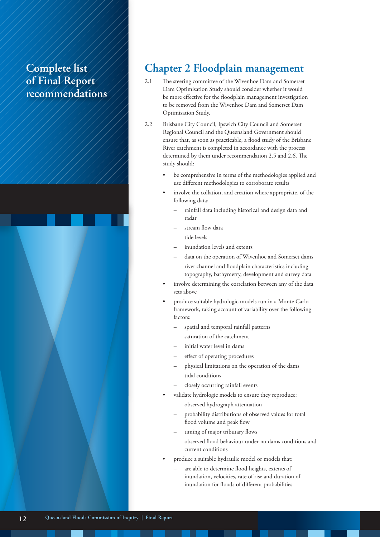## **Complete list of Final Report recommendations**



#### **Chapter 2 Floodplain management**

- 2.1 The steering committee of the Wivenhoe Dam and Somerset Dam Optimisation Study should consider whether it would be more effective for the floodplain management investigation to be removed from the Wivenhoe Dam and Somerset Dam Optimisation Study.
- 2.2 Brisbane City Council, Ipswich City Council and Somerset Regional Council and the Queensland Government should ensure that, as soon as practicable, a flood study of the Brisbane River catchment is completed in accordance with the process determined by them under recommendation 2.5 and 2.6. The study should:
	- be comprehensive in terms of the methodologies applied and use different methodologies to corroborate results
	- involve the collation, and creation where appropriate, of the following data:
		- rainfall data including historical and design data and radar
		- stream flow data
		- tide levels
		- inundation levels and extents
		- data on the operation of Wivenhoe and Somerset dams
		- river channel and floodplain characteristics including topography, bathymetry, development and survey data
	- involve determining the correlation between any of the data sets above
	- produce suitable hydrologic models run in a Monte Carlo framework, taking account of variability over the following factors:
		- spatial and temporal rainfall patterns
		- saturation of the catchment
		- initial water level in dams
		- effect of operating procedures
		- physical limitations on the operation of the dams
		- tidal conditions
		- closely occurring rainfall events
	- validate hydrologic models to ensure they reproduce:
		- observed hydrograph attenuation
		- probability distributions of observed values for total flood volume and peak flow
		- timing of major tributary flows
		- observed flood behaviour under no dams conditions and current conditions
	- produce a suitable hydraulic model or models that:
		- are able to determine flood heights, extents of inundation, velocities, rate of rise and duration of inundation for floods of different probabilities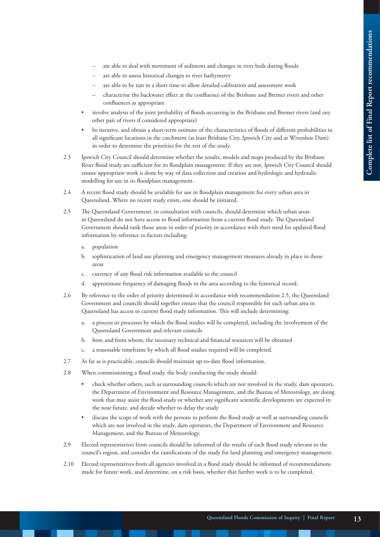- are able to deal with movement of sediment and changes in river beds during floods
- are able to assess historical changes to river bathymetry
- are able to be run in a short time to allow detailed calibration and assessment work
- characterise the backwater effect at the confluence of the Brisbane and Bremer rivers and other confluences as appropriate
- involve analysis of the joint probability of floods occurring in the Brisbane and Bremer rivers (and any other pair of rivers if considered appropriate)
- be iterative, and obtain a short-term estimate of the characteristics of floods of different probabilities in all significant locations in the catchment (at least Brisbane City, Ipswich City and at Wivenhoe Dam) in order to determine the priorities for the rest of the study.
- 2.3 Ipswich City Council should determine whether the results, models and maps produced by the Brisbane River flood study are sufficient for its floodplain management. If they are not, Ipswich City Council should ensure appropriate work is done by way of data collection and creation and hydrologic and hydraulic modelling for use in its floodplain management.
- 2.4 A recent flood study should be available for use in floodplain management for every urban area in Queensland. Where no recent study exists, one should be initiated.
- 2.5 The Queensland Government, in consultation with councils, should determine which urban areas in Queensland do not have access to flood information from a current flood study. The Queensland Government should rank those areas in order of priority in accordance with their need for updated flood information by reference to factors including:
	- a. population
	- b. sophistication of land use planning and emergency management measures already in place in those areas
	- c. currency of any flood risk information available to the council
	- d. approximate frequency of damaging floods in the area according to the historical record.
- 2.6 By reference to the order of priority determined in accordance with recommendation 2.5, the Queensland Government and councils should together ensure that the council responsible for each urban area in Queensland has access to current flood study information. This will include determining:
	- a. a process or processes by which the flood studies will be completed, including the involvement of the Queensland Government and relevant councils
	- b. how, and from whom, the necessary technical and financial resources will be obtained
	- c. a reasonable timeframe by which all flood studies required will be completed.
- 2.7 As far as is practicable, councils should maintain up-to-date flood information.
- 2.8 When commissioning a flood study, the body conducting the study should:
	- check whether others, such as surrounding councils which are not involved in the study, dam operators, the Department of Environment and Resource Management, and the Bureau of Meteorology, are doing work that may assist the flood study or whether any significant scientific developments are expected in the near future, and decide whether to delay the study
	- discuss the scope of work with the persons to perform the flood study as well as surrounding councils which are not involved in the study, dam operators, the Department of Environment and Resource Management, and the Bureau of Meteorology.
- 2.9 Elected representatives from councils should be informed of the results of each flood study relevant to the council's region, and consider the ramifications of the study for land planning and emergency management.
- 2.10 Elected representatives from all agencies involved in a flood study should be informed of recommendations made for future work, and determine, on a risk basis, whether that further work is to be completed.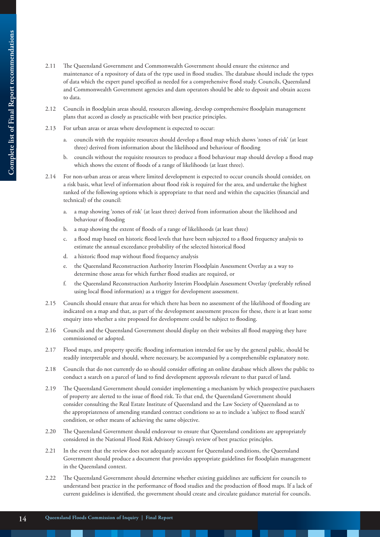- Complete list of Final Report recommendations **Complete list of Final Report recommendations**
- 2.11 The Queensland Government and Commonwealth Government should ensure the existence and maintenance of a repository of data of the type used in flood studies. The database should include the types of data which the expert panel specified as needed for a comprehensive flood study. Councils, Queensland and Commonwealth Government agencies and dam operators should be able to deposit and obtain access to data.
- 2.12 Councils in floodplain areas should, resources allowing, develop comprehensive floodplain management plans that accord as closely as practicable with best practice principles.
- 2.13 For urban areas or areas where development is expected to occur:
	- a. councils with the requisite resources should develop a flood map which shows 'zones of risk' (at least three) derived from information about the likelihood and behaviour of flooding
	- b. councils without the requisite resources to produce a flood behaviour map should develop a flood map which shows the extent of floods of a range of likelihoods (at least three).
- 2.14 For non-urban areas or areas where limited development is expected to occur councils should consider, on a risk basis, what level of information about flood risk is required for the area, and undertake the highest ranked of the following options which is appropriate to that need and within the capacities (financial and technical) of the council:
	- a. a map showing 'zones of risk' (at least three) derived from information about the likelihood and behaviour of flooding
	- b. a map showing the extent of floods of a range of likelihoods (at least three)
	- c. a flood map based on historic flood levels that have been subjected to a flood frequency analysis to estimate the annual exceedance probability of the selected historical flood
	- d. a historic flood map without flood frequency analysis
	- e. the Queensland Reconstruction Authority Interim Floodplain Assessment Overlay as a way to determine those areas for which further flood studies are required, or
	- f. the Queensland Reconstruction Authority Interim Floodplain Assessment Overlay (preferably refined using local flood information) as a trigger for development assessment.
- 2.15 Councils should ensure that areas for which there has been no assessment of the likelihood of flooding are indicated on a map and that, as part of the development assessment process for these, there is at least some enquiry into whether a site proposed for development could be subject to flooding.
- 2.16 Councils and the Queensland Government should display on their websites all flood mapping they have commissioned or adopted.
- 2.17 Flood maps, and property specific flooding information intended for use by the general public, should be readily interpretable and should, where necessary, be accompanied by a comprehensible explanatory note.
- 2.18 Councils that do not currently do so should consider offering an online database which allows the public to conduct a search on a parcel of land to find development approvals relevant to that parcel of land.
- 2.19 The Queensland Government should consider implementing a mechanism by which prospective purchasers of property are alerted to the issue of flood risk. To that end, the Queensland Government should consider consulting the Real Estate Institute of Queensland and the Law Society of Queensland as to the appropriateness of amending standard contract conditions so as to include a 'subject to flood search' condition, or other means of achieving the same objective.
- 2.20 The Queensland Government should endeavour to ensure that Queensland conditions are appropriately considered in the National Flood Risk Advisory Group's review of best practice principles.
- 2.21 In the event that the review does not adequately account for Queensland conditions, the Queensland Government should produce a document that provides appropriate guidelines for floodplain management in the Queensland context.
- 2.22 The Queensland Government should determine whether existing guidelines are sufficient for councils to understand best practice in the performance of flood studies and the production of flood maps. If a lack of current guidelines is identified, the government should create and circulate guidance material for councils.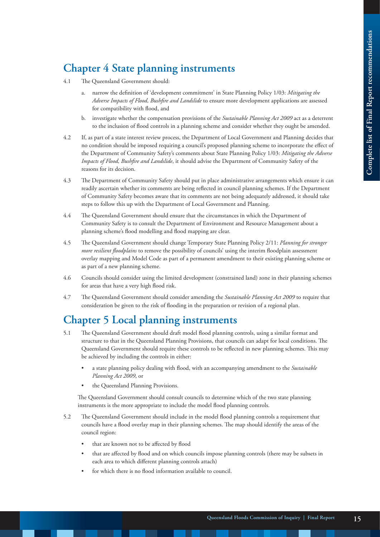# **Chapter 4 State planning instruments**

- 4.1 The Queensland Government should:
	- a. narrow the definition of 'development commitment' in State Planning Policy 1/03: *Mitigating the Adverse Impacts of Flood, Bushfire and Landslide* to ensure more development applications are assessed for compatibility with flood, and
	- b. investigate whether the compensation provisions of the *Sustainable Planning Act 2009* act as a deterrent to the inclusion of flood controls in a planning scheme and consider whether they ought be amended.
- 4.2 If, as part of a state interest review process, the Department of Local Government and Planning decides that no condition should be imposed requiring a council's proposed planning scheme to incorporate the effect of the Department of Community Safety's comments about State Planning Policy 1/03: *Mitigating the Adverse Impacts of Flood, Bushfire and Landslide*, it should advise the Department of Community Safety of the reasons for its decision.
- 4.3 The Department of Community Safety should put in place administrative arrangements which ensure it can readily ascertain whether its comments are being reflected in council planning schemes. If the Department of Community Safety becomes aware that its comments are not being adequately addressed, it should take steps to follow this up with the Department of Local Government and Planning.
- 4.4 The Queensland Government should ensure that the circumstances in which the Department of Community Safety is to consult the Department of Environment and Resource Management about a planning scheme's flood modelling and flood mapping are clear.
- 4.5 The Queensland Government should change Temporary State Planning Policy 2/11: *Planning for stronger more resilient floodplains* to remove the possibility of councils' using the interim floodplain assessment overlay mapping and Model Code as part of a permanent amendment to their existing planning scheme or as part of a new planning scheme.
- 4.6 Councils should consider using the limited development (constrained land) zone in their planning schemes for areas that have a very high flood risk.
- 4.7 The Queensland Government should consider amending the *Sustainable Planning Act 2009* to require that consideration be given to the risk of flooding in the preparation or revision of a regional plan.

## **Chapter 5 Local planning instruments**

- 5.1 The Queensland Government should draft model flood planning controls, using a similar format and structure to that in the Queensland Planning Provisions, that councils can adapt for local conditions. The Queensland Government should require these controls to be reflected in new planning schemes. This may be achieved by including the controls in either:
	- a state planning policy dealing with flood, with an accompanying amendment to the *Sustainable Planning Act 2009*, or
	- the Queensland Planning Provisions.

The Queensland Government should consult councils to determine which of the two state planning instruments is the more appropriate to include the model flood planning controls.

- 5.2 The Queensland Government should include in the model flood planning controls a requirement that councils have a flood overlay map in their planning schemes. The map should identify the areas of the council region:
	- that are known not to be affected by flood
	- that are affected by flood and on which councils impose planning controls (there may be subsets in each area to which different planning controls attach)
	- for which there is no flood information available to council.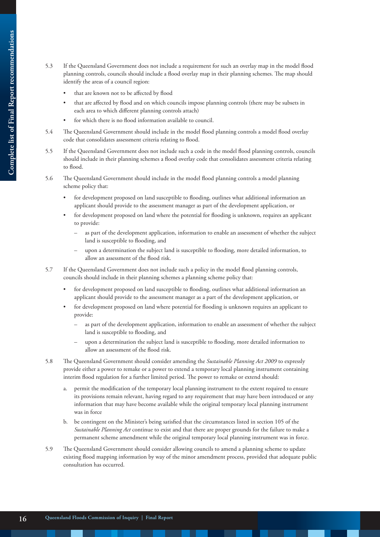- 5.3 If the Queensland Government does not include a requirement for such an overlay map in the model flood planning controls, councils should include a flood overlay map in their planning schemes. The map should identify the areas of a council region:
	- that are known not to be affected by flood
	- that are affected by flood and on which councils impose planning controls (there may be subsets in each area to which different planning controls attach)
	- for which there is no flood information available to council.
- 5.4 The Queensland Government should include in the model flood planning controls a model flood overlay code that consolidates assessment criteria relating to flood.
- 5.5 If the Queensland Government does not include such a code in the model flood planning controls, councils should include in their planning schemes a flood overlay code that consolidates assessment criteria relating to flood.
- 5.6 The Queensland Government should include in the model flood planning controls a model planning scheme policy that:
	- for development proposed on land susceptible to flooding, outlines what additional information an applicant should provide to the assessment manager as part of the development application, or
	- for development proposed on land where the potential for flooding is unknown, requires an applicant to provide:
		- as part of the development application, information to enable an assessment of whether the subject land is susceptible to flooding, and
		- upon a determination the subject land is susceptible to flooding, more detailed information, to allow an assessment of the flood risk.
- 5.7 If the Queensland Government does not include such a policy in the model flood planning controls, councils should include in their planning schemes a planning scheme policy that:
	- for development proposed on land susceptible to flooding, outlines what additional information an applicant should provide to the assessment manager as a part of the development application, or
	- for development proposed on land where potential for flooding is unknown requires an applicant to provide:
		- as part of the development application, information to enable an assessment of whether the subject land is susceptible to flooding, and
		- upon a determination the subject land is susceptible to flooding, more detailed information to allow an assessment of the flood risk.
- 5.8 The Queensland Government should consider amending the *Sustainable Planning Act 2009* to expressly provide either a power to remake or a power to extend a temporary local planning instrument containing interim flood regulation for a further limited period. The power to remake or extend should:
	- a. permit the modification of the temporary local planning instrument to the extent required to ensure its provisions remain relevant, having regard to any requirement that may have been introduced or any information that may have become available while the original temporary local planning instrument was in force
	- b. be contingent on the Minister's being satisfied that the circumstances listed in section 105 of the *Sustainable Planning Act* continue to exist and that there are proper grounds for the failure to make a permanent scheme amendment while the original temporary local planning instrument was in force.
- 5.9 The Queensland Government should consider allowing councils to amend a planning scheme to update existing flood mapping information by way of the minor amendment process, provided that adequate public consultation has occurred.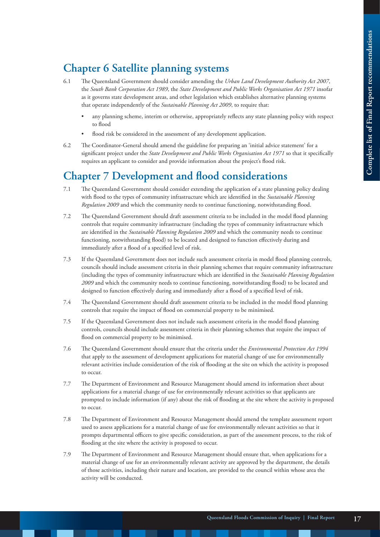# **Chapter 6 Satellite planning systems**

- 6.1 The Queensland Government should consider amending the *Urban Land Development Authority Act 2007*, the *South Bank Corporation Act 1989*, the *State Development and Public Works Organisation Act 1971* insofar as it governs state development areas, and other legislation which establishes alternative planning systems that operate independently of the *Sustainable Planning Act 2009*, to require that:
	- any planning scheme, interim or otherwise, appropriately reflects any state planning policy with respect to flood
	- flood risk be considered in the assessment of any development application.
- 6.2 The Coordinator-General should amend the guideline for preparing an 'initial advice statement' for a significant project under the *State Development and Public Works Organisation Act 1971* so that it specifically requires an applicant to consider and provide information about the project's flood risk.

### **Chapter 7 Development and flood considerations**

- 7.1 The Queensland Government should consider extending the application of a state planning policy dealing with flood to the types of community infrastructure which are identified in the *Sustainable Planning Regulation 2009* and which the community needs to continue functioning, notwithstanding flood.
- 7.2 The Queensland Government should draft assessment criteria to be included in the model flood planning controls that require community infrastructure (including the types of community infrastructure which are identified in the *Sustainable Planning Regulation 2009* and which the community needs to continue functioning, notwithstanding flood) to be located and designed to function effectively during and immediately after a flood of a specified level of risk.
- 7.3 If the Queensland Government does not include such assessment criteria in model flood planning controls, councils should include assessment criteria in their planning schemes that require community infrastructure (including the types of community infrastructure which are identified in the *Sustainable Planning Regulation 2009* and which the community needs to continue functioning, notwithstanding flood) to be located and designed to function effectively during and immediately after a flood of a specified level of risk.
- 7.4 The Queensland Government should draft assessment criteria to be included in the model flood planning controls that require the impact of flood on commercial property to be minimised.
- 7.5 If the Queensland Government does not include such assessment criteria in the model flood planning controls, councils should include assessment criteria in their planning schemes that require the impact of flood on commercial property to be minimised.
- 7.6 The Queensland Government should ensure that the criteria under the *Environmental Protection Act 1994* that apply to the assessment of development applications for material change of use for environmentally relevant activities include consideration of the risk of flooding at the site on which the activity is proposed to occur.
- 7.7 The Department of Environment and Resource Management should amend its information sheet about applications for a material change of use for environmentally relevant activities so that applicants are prompted to include information (if any) about the risk of flooding at the site where the activity is proposed to occur.
- 7.8 The Department of Environment and Resource Management should amend the template assessment report used to assess applications for a material change of use for environmentally relevant activities so that it prompts departmental officers to give specific consideration, as part of the assessment process, to the risk of flooding at the site where the activity is proposed to occur.
- 7.9 The Department of Environment and Resource Management should ensure that, when applications for a material change of use for an environmentally relevant activity are approved by the department, the details of those activities, including their nature and location, are provided to the council within whose area the activity will be conducted.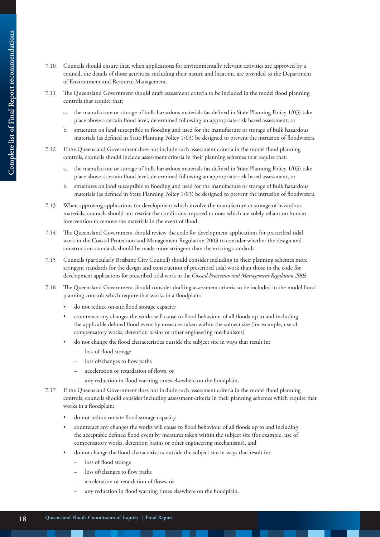- - 7.10 Councils should ensure that, when applications for environmentally relevant activities are approved by a council, the details of those activities, including their nature and location, are provided to the Department of Environment and Resource Management.
	- 7.11 The Queensland Government should draft assessment criteria to be included in the model flood planning controls that require that:
		- the manufacture or storage of bulk hazardous materials (as defined in State Planning Policy 1/03) take place above a certain flood level, determined following an appropriate risk based assessment, or
		- b. structures on land susceptible to flooding and used for the manufacture or storage of bulk hazardous materials (as defined in State Planning Policy 1/03) be designed to prevent the intrusion of floodwaters.
	- 7.12 If the Queensland Government does not include such assessment criteria in the model flood planning controls, councils should include assessment criteria in their planning schemes that require that:
		- a. the manufacture or storage of bulk hazardous materials (as defined in State Planning Policy 1/03) take place above a certain flood level, determined following an appropriate risk based assessment, or
		- b. structures on land susceptible to flooding and used for the manufacture or storage of bulk hazardous materials (as defined in State Planning Policy 1/03) be designed to prevent the intrusion of floodwaters.
	- 7.13 When approving applications for development which involve the manufacture or storage of hazardous materials, councils should not restrict the conditions imposed to ones which are solely reliant on human intervention to remove the materials in the event of flood.
	- 7.14 The Queensland Government should review the code for development applications for prescribed tidal work in the Coastal Protection and Management Regulation 2003 to consider whether the design and construction standards should be made more stringent than the existing standards.
	- 7.15 Councils (particularly Brisbane City Council) should consider including in their planning schemes more stringent standards for the design and construction of prescribed tidal work than those in the code for development applications for prescribed tidal work in the *Coastal Protection and Management Regulation 2003*.
	- 7.16 The Queensland Government should consider drafting assessment criteria to be included in the model flood planning controls which require that works in a floodplain:
		- do not reduce on-site flood storage capacity
		- counteract any changes the works will cause to flood behaviour of all floods up to and including the applicable defined flood event by measures taken within the subject site (for example, use of compensatory works, detention basins or other engineering mechanisms)
		- do not change the flood characteristics outside the subject site in ways that result in:
			- loss of flood storage
			- loss of/changes to flow paths
			- acceleration or retardation of flows, or
			- any reduction in flood warning times elsewhere on the floodplain.
	- 7.17 If the Queensland Government does not include such assessment criteria in the model flood planning controls, councils should consider including assessment criteria in their planning schemes which require that works in a floodplain:
		- do not reduce on-site flood storage capacity
		- counteract any changes the works will cause to flood behaviour of all floods up to and including the acceptable defined flood event by measures taken within the subject site (for example, use of compensatory works, detention basins or other engineering mechanisms), and
		- do not change the flood characteristics outside the subject site in ways that result in:
			- loss of flood storage
			- loss of/changes to flow paths
			- acceleration or retardation of flows, or
			- any reduction in flood warning times elsewhere on the floodplain.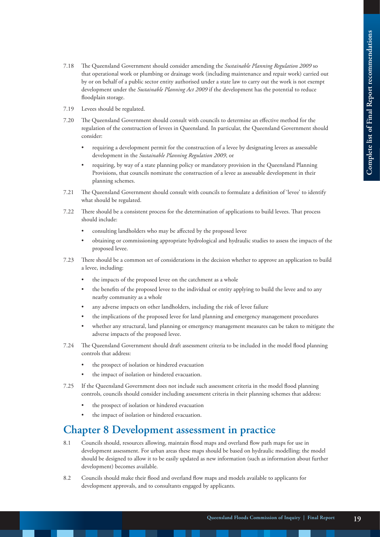- 7.18 The Queensland Government should consider amending the *Sustainable Planning Regulation 2009* so that operational work or plumbing or drainage work (including maintenance and repair work) carried out by or on behalf of a public sector entity authorised under a state law to carry out the work is not exempt development under the *Sustainable Planning Act 2009* if the development has the potential to reduce floodplain storage.
- 7.19 Levees should be regulated.
- 7.20 The Queensland Government should consult with councils to determine an effective method for the regulation of the construction of levees in Queensland. In particular, the Queensland Government should consider:
	- requiring a development permit for the construction of a levee by designating levees as assessable development in the *Sustainable Planning Regulation 2009*, or
	- requiring, by way of a state planning policy or mandatory provision in the Queensland Planning Provisions, that councils nominate the construction of a levee as assessable development in their planning schemes.
- 7.21 The Queensland Government should consult with councils to formulate a definition of 'levee' to identify what should be regulated.
- 7.22 There should be a consistent process for the determination of applications to build levees. That process should include:
	- consulting landholders who may be affected by the proposed levee
	- obtaining or commissioning appropriate hydrological and hydraulic studies to assess the impacts of the proposed levee.
- 7.23 There should be a common set of considerations in the decision whether to approve an application to build a levee, including:
	- the impacts of the proposed levee on the catchment as a whole
	- the benefits of the proposed levee to the individual or entity applying to build the levee and to any nearby community as a whole
	- any adverse impacts on other landholders, including the risk of levee failure
	- the implications of the proposed levee for land planning and emergency management procedures
	- whether any structural, land planning or emergency management measures can be taken to mitigate the adverse impacts of the proposed levee.
- 7.24 The Queensland Government should draft assessment criteria to be included in the model flood planning controls that address:
	- the prospect of isolation or hindered evacuation
	- the impact of isolation or hindered evacuation.
- 7.25 If the Queensland Government does not include such assessment criteria in the model flood planning controls, councils should consider including assessment criteria in their planning schemes that address:
	- the prospect of isolation or hindered evacuation
	- the impact of isolation or hindered evacuation.

#### **Chapter 8 Development assessment in practice**

- 8.1 Councils should, resources allowing, maintain flood maps and overland flow path maps for use in development assessment. For urban areas these maps should be based on hydraulic modelling; the model should be designed to allow it to be easily updated as new information (such as information about further development) becomes available.
- 8.2 Councils should make their flood and overland flow maps and models available to applicants for development approvals, and to consultants engaged by applicants.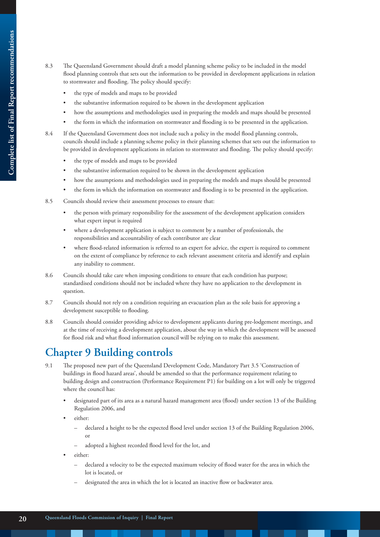- 8.3 The Queensland Government should draft a model planning scheme policy to be included in the model flood planning controls that sets out the information to be provided in development applications in relation to stormwater and flooding. The policy should specify:
	- the type of models and maps to be provided
	- the substantive information required to be shown in the development application
	- how the assumptions and methodologies used in preparing the models and maps should be presented
	- the form in which the information on stormwater and flooding is to be presented in the application.
- 8.4 If the Queensland Government does not include such a policy in the model flood planning controls, councils should include a planning scheme policy in their planning schemes that sets out the information to be provided in development applications in relation to stormwater and flooding. The policy should specify:
	- the type of models and maps to be provided
	- the substantive information required to be shown in the development application
	- how the assumptions and methodologies used in preparing the models and maps should be presented
	- the form in which the information on stormwater and flooding is to be presented in the application.
- 8.5 Councils should review their assessment processes to ensure that:
	- the person with primary responsibility for the assessment of the development application considers what expert input is required
	- where a development application is subject to comment by a number of professionals, the responsibilities and accountability of each contributor are clear
	- where flood-related information is referred to an expert for advice, the expert is required to comment on the extent of compliance by reference to each relevant assessment criteria and identify and explain any inability to comment.
- 8.6 Councils should take care when imposing conditions to ensure that each condition has purpose; standardised conditions should not be included where they have no application to the development in question.
- 8.7 Councils should not rely on a condition requiring an evacuation plan as the sole basis for approving a development susceptible to flooding.
- 8.8 Councils should consider providing advice to development applicants during pre-lodgement meetings, and at the time of receiving a development application, about the way in which the development will be assessed for flood risk and what flood information council will be relying on to make this assessment.

### **Chapter 9 Building controls**

- 9.1 The proposed new part of the Queensland Development Code, Mandatory Part 3.5 'Construction of buildings in flood hazard areas', should be amended so that the performance requirement relating to building design and construction (Performance Requirement P1) for building on a lot will only be triggered where the council has:
	- designated part of its area as a natural hazard management area (flood) under section 13 of the Building Regulation 2006, and
	- either:
		- declared a height to be the expected flood level under section 13 of the Building Regulation 2006, or
		- adopted a highest recorded flood level for the lot, and
	- either:
		- declared a velocity to be the expected maximum velocity of flood water for the area in which the lot is located, or
		- designated the area in which the lot is located an inactive flow or backwater area.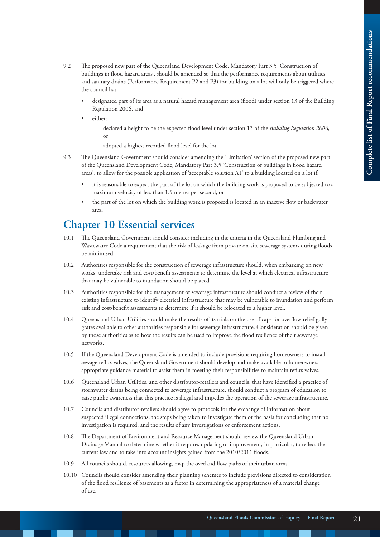- 9.2 The proposed new part of the Queensland Development Code, Mandatory Part 3.5 'Construction of buildings in flood hazard areas', should be amended so that the performance requirements about utilities and sanitary drains (Performance Requirement P2 and P3) for building on a lot will only be triggered where the council has:
	- designated part of its area as a natural hazard management area (flood) under section 13 of the Building Regulation 2006, and
	- either:
		- declared a height to be the expected flood level under section 13 of the *Building Regulation 2006*, or
		- adopted a highest recorded flood level for the lot.
- 9.3 The Queensland Government should consider amending the 'Limitation' section of the proposed new part of the Queensland Development Code, Mandatory Part 3.5 'Construction of buildings in flood hazard areas', to allow for the possible application of 'acceptable solution A1' to a building located on a lot if:
	- it is reasonable to expect the part of the lot on which the building work is proposed to be subjected to a maximum velocity of less than 1.5 metres per second, or
	- the part of the lot on which the building work is proposed is located in an inactive flow or backwater area.

#### **Chapter 10 Essential services**

- 10.1 The Queensland Government should consider including in the criteria in the Queensland Plumbing and Wastewater Code a requirement that the risk of leakage from private on-site sewerage systems during floods be minimised.
- 10.2 Authorities responsible for the construction of sewerage infrastructure should, when embarking on new works, undertake risk and cost/benefit assessments to determine the level at which electrical infrastructure that may be vulnerable to inundation should be placed.
- 10.3 Authorities responsible for the management of sewerage infrastructure should conduct a review of their existing infrastructure to identify electrical infrastructure that may be vulnerable to inundation and perform risk and cost/benefit assessments to determine if it should be relocated to a higher level.
- 10.4 Queensland Urban Utilities should make the results of its trials on the use of caps for overflow relief gully grates available to other authorities responsible for sewerage infrastructure. Consideration should be given by those authorities as to how the results can be used to improve the flood resilience of their sewerage networks.
- 10.5 If the Queensland Development Code is amended to include provisions requiring homeowners to install sewage reflux valves, the Queensland Government should develop and make available to homeowners appropriate guidance material to assist them in meeting their responsibilities to maintain reflux valves.
- 10.6 Queensland Urban Utilities, and other distributor-retailers and councils, that have identified a practice of stormwater drains being connected to sewerage infrastructure, should conduct a program of education to raise public awareness that this practice is illegal and impedes the operation of the sewerage infrastructure.
- 10.7 Councils and distributor-retailers should agree to protocols for the exchange of information about suspected illegal connections, the steps being taken to investigate them or the basis for concluding that no investigation is required, and the results of any investigations or enforcement actions.
- 10.8 The Department of Environment and Resource Management should review the Queensland Urban Drainage Manual to determine whether it requires updating or improvement, in particular, to reflect the current law and to take into account insights gained from the 2010/2011 floods.
- 10.9 All councils should, resources allowing, map the overland flow paths of their urban areas.
- 10.10 Councils should consider amending their planning schemes to include provisions directed to consideration of the flood resilience of basements as a factor in determining the appropriateness of a material change of use.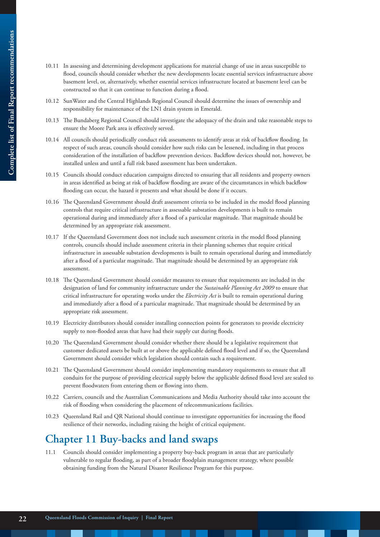- 10.11 In assessing and determining development applications for material change of use in areas susceptible to flood, councils should consider whether the new developments locate essential services infrastructure above basement level, or, alternatively, whether essential services infrastructure located at basement level can be constructed so that it can continue to function during a flood.
- 10.12 SunWater and the Central Highlands Regional Council should determine the issues of ownership and responsibility for maintenance of the LN1 drain system in Emerald.
- 10.13 The Bundaberg Regional Council should investigate the adequacy of the drain and take reasonable steps to ensure the Moore Park area is effectively served.
- 10.14 All councils should periodically conduct risk assessments to identify areas at risk of backflow flooding. In respect of such areas, councils should consider how such risks can be lessened, including in that process consideration of the installation of backflow prevention devices. Backflow devices should not, however, be installed unless and until a full risk based assessment has been undertaken.
- 10.15 Councils should conduct education campaigns directed to ensuring that all residents and property owners in areas identified as being at risk of backflow flooding are aware of the circumstances in which backflow flooding can occur, the hazard it presents and what should be done if it occurs.
- 10.16 The Queensland Government should draft assessment criteria to be included in the model flood planning controls that require critical infrastructure in assessable substation developments is built to remain operational during and immediately after a flood of a particular magnitude. That magnitude should be determined by an appropriate risk assessment.
- 10.17 If the Queensland Government does not include such assessment criteria in the model flood planning controls, councils should include assessment criteria in their planning schemes that require critical infrastructure in assessable substation developments is built to remain operational during and immediately after a flood of a particular magnitude. That magnitude should be determined by an appropriate risk assessment.
- 10.18 The Queensland Government should consider measures to ensure that requirements are included in the designation of land for community infrastructure under the *Sustainable Planning Act 2009* to ensure that critical infrastructure for operating works under the *Electricity Act* is built to remain operational during and immediately after a flood of a particular magnitude. That magnitude should be determined by an appropriate risk assessment.
- 10.19 Electricity distributors should consider installing connection points for generators to provide electricity supply to non-flooded areas that have had their supply cut during floods.
- 10.20 The Queensland Government should consider whether there should be a legislative requirement that customer dedicated assets be built at or above the applicable defined flood level and if so, the Queensland Government should consider which legislation should contain such a requirement.
- 10.21 The Queensland Government should consider implementing mandatory requirements to ensure that all conduits for the purpose of providing electrical supply below the applicable defined flood level are sealed to prevent floodwaters from entering them or flowing into them.
- 10.22 Carriers, councils and the Australian Communications and Media Authority should take into account the risk of flooding when considering the placement of telecommunications facilities.
- 10.23 Queensland Rail and QR National should continue to investigate opportunities for increasing the flood resilience of their networks, including raising the height of critical equipment.

### **Chapter 11 Buy-backs and land swaps**

11.1 Councils should consider implementing a property buy-back program in areas that are particularly vulnerable to regular flooding, as part of a broader floodplain management strategy, where possible obtaining funding from the Natural Disaster Resilience Program for this purpose.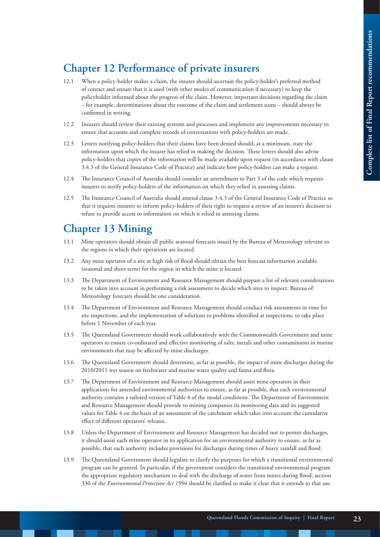# **Chapter 12 Performance of private insurers**

- 12.1 When a policy-holder makes a claim, the insurer should ascertain the policy-holder's preferred method of contact and ensure that it is used (with other modes of communication if necessary) to keep the policyholder informed about the progress of the claim. However, important decisions regarding the claim – for example, determinations about the outcome of the claim and settlement sums – should always be confirmed in writing.
- 12.2 Insurers should review their existing systems and processes and implement any improvements necessary to ensure that accurate and complete records of conversations with policy-holders are made.
- 12.3 Letters notifying policy-holders that their claims have been denied should, at a minimum, state the information upon which the insurer has relied in making the decision. These letters should also advise policy-holders that copies of the information will be made available upon request (in accordance with clause 3.4.3 of the General Insurance Code of Practice) and indicate how policy-holders can make a request.
- 12.4 The Insurance Council of Australia should consider an amendment to Part 3 of the code which requires insurers to notify policy-holders of the information on which they relied in assessing claims.
- 12.5 The Insurance Council of Australia should amend clause 3.4.3 of the General Insurance Code of Practice so that it requires insurers to inform policy-holders of their right to request a review of an insurer's decision to refuse to provide access to information on which it relied in assessing claims.

#### **Chapter 13 Mining**

- 13.1 Mine operators should obtain all public seasonal forecasts issued by the Bureau of Meteorology relevant to the regions in which their operations are located.
- 13.2 Any mine operator of a site at high risk of flood should obtain the best forecast information available (seasonal and short term) for the region in which the mine is located.
- 13.3 The Department of Environment and Resource Management should prepare a list of relevant considerations to be taken into account in performing a risk assessment to decide which sites to inspect. Bureau of Meteorology forecasts should be one consideration.
- 13.4 The Department of Environment and Resource Management should conduct risk assessments in time for site inspections, and the implementation of solutions to problems identified at inspections, to take place before 1 November of each year.
- 13.5 The Queensland Government should work collaboratively with the Commonwealth Government and mine operators to ensure co-ordinated and effective monitoring of salts, metals and other contaminants in marine environments that may be affected by mine discharges.
- 13.6 The Queensland Government should determine, as far as possible, the impact of mine discharges during the 2010/2011 wet season on freshwater and marine water quality and fauna and flora.
- 13.7 The Department of Environment and Resource Management should assist mine operators in their applications for amended environmental authorities to ensure, as far as possible, that each environmental authority contains a tailored version of Table 4 of the model conditions. The Department of Environment and Resource Management should provide to mining companies its monitoring data and its suggested values for Table 4 on the basis of an assessment of the catchment which takes into account the cumulative effect of different operators' releases.
- 13.8 Unless the Department of Environment and Resource Management has decided not to permit discharges, it should assist each mine operator in its application for an environmental authority to ensure, as far as possible, that each authority includes provisions for discharges during times of heavy rainfall and flood.
- 13.9 The Queensland Government should legislate to clarify the purposes for which a transitional environmental program can be granted. In particular, if the government considers the transitional environmental program the appropriate regulatory mechanism to deal with the discharge of water from mines during flood, section 330 of the *Environmental Protection Act 1994* should be clarified to make it clear that it extends to that use.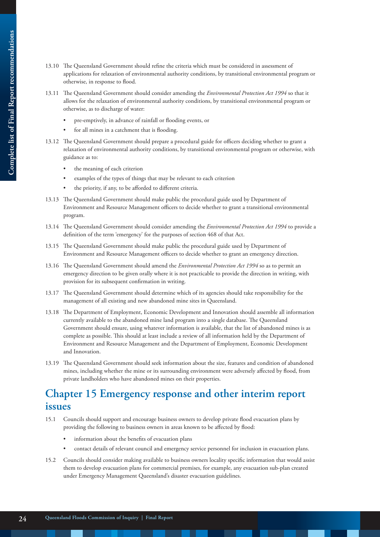- 13.10 The Queensland Government should refine the criteria which must be considered in assessment of applications for relaxation of environmental authority conditions, by transitional environmental program or otherwise, in response to flood.
- 13.11 The Queensland Government should consider amending the *Environmental Protection Act 1994* so that it allows for the relaxation of environmental authority conditions, by transitional environmental program or otherwise, as to discharge of water:
	- pre-emptively, in advance of rainfall or flooding events, or
	- for all mines in a catchment that is flooding.
- 13.12 The Queensland Government should prepare a procedural guide for officers deciding whether to grant a relaxation of environmental authority conditions, by transitional environmental program or otherwise, with guidance as to:
	- the meaning of each criterion
	- examples of the types of things that may be relevant to each criterion
	- the priority, if any, to be afforded to different criteria.
- 13.13 The Queensland Government should make public the procedural guide used by Department of Environment and Resource Management officers to decide whether to grant a transitional environmental program.
- 13.14 The Queensland Government should consider amending the *Environmental Protection Act 1994* to provide a definition of the term 'emergency' for the purposes of section 468 of that Act.
- 13.15 The Queensland Government should make public the procedural guide used by Department of Environment and Resource Management officers to decide whether to grant an emergency direction.
- 13.16 The Queensland Government should amend the *Environmental Protection Act 1994* so as to permit an emergency direction to be given orally where it is not practicable to provide the direction in writing, with provision for its subsequent confirmation in writing.
- 13.17 The Queensland Government should determine which of its agencies should take responsibility for the management of all existing and new abandoned mine sites in Queensland.
- 13.18 The Department of Employment, Economic Development and Innovation should assemble all information currently available to the abandoned mine land program into a single database. The Queensland Government should ensure, using whatever information is available, that the list of abandoned mines is as complete as possible. This should at least include a review of all information held by the Department of Environment and Resource Management and the Department of Employment, Economic Development and Innovation.
- 13.19 The Queensland Government should seek information about the size, features and condition of abandoned mines, including whether the mine or its surrounding environment were adversely affected by flood, from private landholders who have abandoned mines on their properties.

### **Chapter 15 Emergency response and other interim report issues**

- 15.1 Councils should support and encourage business owners to develop private flood evacuation plans by providing the following to business owners in areas known to be affected by flood:
	- information about the benefits of evacuation plans
	- contact details of relevant council and emergency service personnel for inclusion in evacuation plans.
- 15.2 Councils should consider making available to business owners locality specific information that would assist them to develop evacuation plans for commercial premises, for example, any evacuation sub-plan created under Emergency Management Queensland's disaster evacuation guidelines.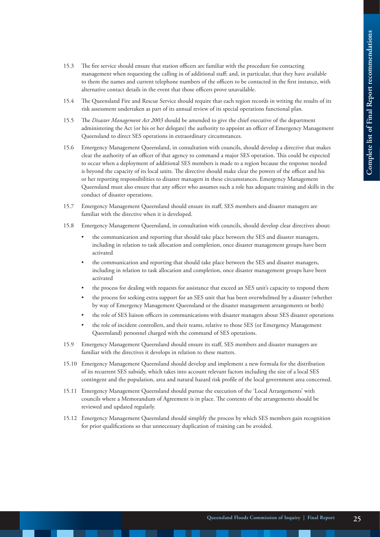- 15.3 The fire service should ensure that station officers are familiar with the procedure for contacting management when requesting the calling in of additional staff; and, in particular, that they have available to them the names and current telephone numbers of the officers to be contacted in the first instance, with alternative contact details in the event that those officers prove unavailable.
- 15.4 The Queensland Fire and Rescue Service should require that each region records in writing the results of its risk assessment undertaken as part of its annual review of its special operations functional plan.
- 15.5 The *Disaster Management Act 2003* should be amended to give the chief executive of the department administering the Act (or his or her delegate) the authority to appoint an officer of Emergency Management Queensland to direct SES operations in extraordinary circumstances.
- 15.6 Emergency Management Queensland, in consultation with councils, should develop a directive that makes clear the authority of an officer of that agency to command a major SES operation. This could be expected to occur when a deployment of additional SES members is made to a region because the response needed is beyond the capacity of its local units. The directive should make clear the powers of the officer and his or her reporting responsibilities to disaster managers in these circumstances. Emergency Management Queensland must also ensure that any officer who assumes such a role has adequate training and skills in the conduct of disaster operations.
- 15.7 Emergency Management Queensland should ensure its staff, SES members and disaster managers are familiar with the directive when it is developed.
- 15.8 Emergency Management Queensland, in consultation with councils, should develop clear directives about:
	- the communication and reporting that should take place between the SES and disaster managers, including in relation to task allocation and completion, once disaster management groups have been activated
	- the communication and reporting that should take place between the SES and disaster managers, including in relation to task allocation and completion, once disaster management groups have been activated
	- the process for dealing with requests for assistance that exceed an SES unit's capacity to respond them
	- the process for seeking extra support for an SES unit that has been overwhelmed by a disaster (whether by way of Emergency Management Queensland or the disaster management arrangements or both)
	- the role of SES liaison officers in communications with disaster managers about SES disaster operations
	- the role of incident controllers, and their teams, relative to those SES (or Emergency Management Queensland) personnel charged with the command of SES operations.
- 15.9 Emergency Management Queensland should ensure its staff, SES members and disaster managers are familiar with the directives it develops in relation to these matters.
- 15.10 Emergency Management Queensland should develop and implement a new formula for the distribution of its recurrent SES subsidy, which takes into account relevant factors including the size of a local SES contingent and the population, area and natural hazard risk profile of the local government area concerned.
- 15.11 Emergency Management Queensland should pursue the execution of the 'Local Arrangements' with councils where a Memorandum of Agreement is in place. The contents of the arrangements should be reviewed and updated regularly.
- 15.12 Emergency Management Queensland should simplify the process by which SES members gain recognition for prior qualifications so that unnecessary duplication of training can be avoided.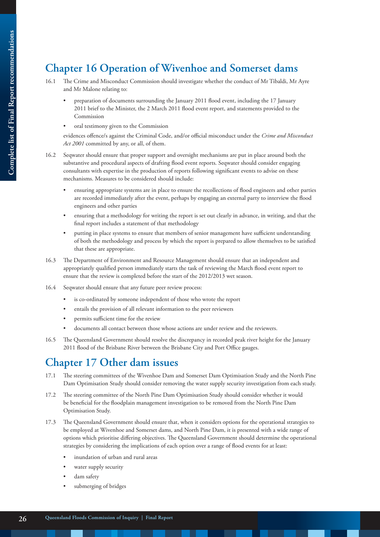## **Chapter 16 Operation of Wivenhoe and Somerset dams**

- 16.1 The Crime and Misconduct Commission should investigate whether the conduct of Mr Tibaldi, Mr Ayre and Mr Malone relating to:
	- preparation of documents surrounding the January 2011 flood event, including the 17 January 2011 brief to the Minister, the 2 March 2011 flood event report, and statements provided to the Commission
	- oral testimony given to the Commission

evidences offence/s against the Criminal Code, and/or official misconduct under the *Crime and Misconduct Act 2001* committed by any, or all, of them.

- 16.2 Seqwater should ensure that proper support and oversight mechanisms are put in place around both the substantive and procedural aspects of drafting flood event reports. Seqwater should consider engaging consultants with expertise in the production of reports following significant events to advise on these mechanisms. Measures to be considered should include:
	- ensuring appropriate systems are in place to ensure the recollections of flood engineers and other parties are recorded immediately after the event, perhaps by engaging an external party to interview the flood engineers and other parties
	- ensuring that a methodology for writing the report is set out clearly in advance, in writing, and that the final report includes a statement of that methodology
	- putting in place systems to ensure that members of senior management have sufficient understanding of both the methodology and process by which the report is prepared to allow themselves to be satisfied that these are appropriate.
- 16.3 The Department of Environment and Resource Management should ensure that an independent and appropriately qualified person immediately starts the task of reviewing the March flood event report to ensure that the review is completed before the start of the 2012/2013 wet season.
- 16.4 Seqwater should ensure that any future peer review process:
	- is co-ordinated by someone independent of those who wrote the report
	- entails the provision of all relevant information to the peer reviewers
	- permits sufficient time for the review
	- documents all contact between those whose actions are under review and the reviewers.
- 16.5 The Queensland Government should resolve the discrepancy in recorded peak river height for the January 2011 flood of the Brisbane River between the Brisbane City and Port Office gauges.

### **Chapter 17 Other dam issues**

- 17.1 The steering committees of the Wivenhoe Dam and Somerset Dam Optimisation Study and the North Pine Dam Optimisation Study should consider removing the water supply security investigation from each study.
- 17.2 The steering committee of the North Pine Dam Optimisation Study should consider whether it would be beneficial for the floodplain management investigation to be removed from the North Pine Dam Optimisation Study.
- 17.3 The Queensland Government should ensure that, when it considers options for the operational strategies to be employed at Wivenhoe and Somerset dams, and North Pine Dam, it is presented with a wide range of options which prioritise differing objectives. The Queensland Government should determine the operational strategies by considering the implications of each option over a range of flood events for at least:
	- inundation of urban and rural areas
	- water supply security
	- dam safety
	- submerging of bridges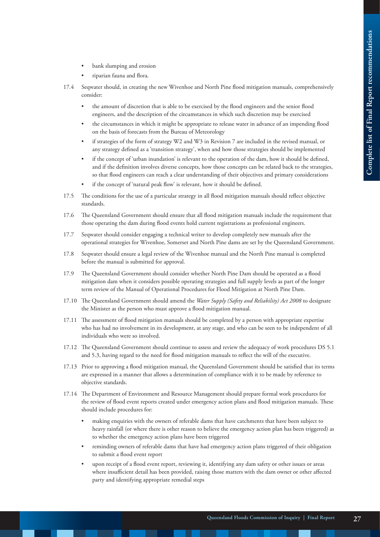- bank slumping and erosion
- riparian fauna and flora.
- 17.4 Seqwater should, in creating the new Wivenhoe and North Pine flood mitigation manuals, comprehensively consider:
	- the amount of discretion that is able to be exercised by the flood engineers and the senior flood engineers, and the description of the circumstances in which such discretion may be exercised
	- the circumstances in which it might be appropriate to release water in advance of an impending flood on the basis of forecasts from the Bureau of Meteorology
	- if strategies of the form of strategy W2 and W3 in Revision 7 are included in the revised manual, or any strategy defined as a 'transition strategy', when and how those strategies should be implemented
	- if the concept of 'urban inundation' is relevant to the operation of the dam, how it should be defined, and if the definition involves diverse concepts, how those concepts can be related back to the strategies, so that flood engineers can reach a clear understanding of their objectives and primary considerations
	- if the concept of 'natural peak flow' is relevant, how it should be defined.
- 17.5 The conditions for the use of a particular strategy in all flood mitigation manuals should reflect objective standards.
- 17.6 The Queensland Government should ensure that all flood mitigation manuals include the requirement that those operating the dam during flood events hold current registrations as professional engineers.
- 17.7 Seqwater should consider engaging a technical writer to develop completely new manuals after the operational strategies for Wivenhoe, Somerset and North Pine dams are set by the Queensland Government.
- 17.8 Seqwater should ensure a legal review of the Wivenhoe manual and the North Pine manual is completed before the manual is submitted for approval.
- 17.9 The Queensland Government should consider whether North Pine Dam should be operated as a flood mitigation dam when it considers possible operating strategies and full supply levels as part of the longer term review of the Manual of Operational Procedures for Flood Mitigation at North Pine Dam.
- 17.10 The Queensland Government should amend the *Water Supply (Safety and Reliability) Act 2008* to designate the Minister as the person who must approve a flood mitigation manual.
- 17.11 The assessment of flood mitigation manuals should be completed by a person with appropriate expertise who has had no involvement in its development, at any stage, and who can be seen to be independent of all individuals who were so involved.
- 17.12 The Queensland Government should continue to assess and review the adequacy of work procedures DS 5.1 and 5.3, having regard to the need for flood mitigation manuals to reflect the will of the executive.
- 17.13 Prior to approving a flood mitigation manual, the Queensland Government should be satisfied that its terms are expressed in a manner that allows a determination of compliance with it to be made by reference to objective standards.
- 17.14 The Department of Environment and Resource Management should prepare formal work procedures for the review of flood event reports created under emergency action plans and flood mitigation manuals. These should include procedures for:
	- making enquiries with the owners of referable dams that have catchments that have been subject to heavy rainfall (or where there is other reason to believe the emergency action plan has been triggered) as to whether the emergency action plans have been triggered
	- reminding owners of referable dams that have had emergency action plans triggered of their obligation to submit a flood event report
	- upon receipt of a flood event report, reviewing it, identifying any dam safety or other issues or areas where insufficient detail has been provided, raising those matters with the dam owner or other affected party and identifying appropriate remedial steps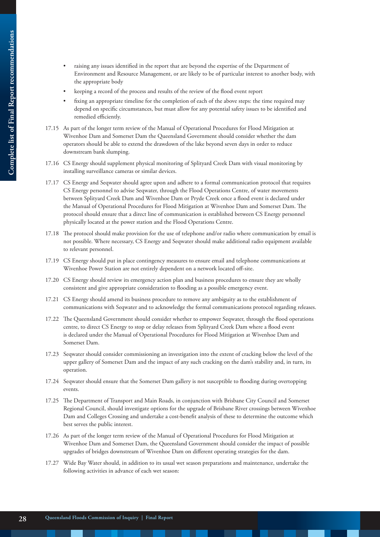- 
- raising any issues identified in the report that are beyond the expertise of the Department of Environment and Resource Management, or are likely to be of particular interest to another body, with the appropriate body
- keeping a record of the process and results of the review of the flood event report
- fixing an appropriate timeline for the completion of each of the above steps: the time required may depend on specific circumstances, but must allow for any potential safety issues to be identified and remedied efficiently.
- 17.15 As part of the longer term review of the Manual of Operational Procedures for Flood Mitigation at Wivenhoe Dam and Somerset Dam the Queensland Government should consider whether the dam operators should be able to extend the drawdown of the lake beyond seven days in order to reduce downstream bank slumping.
- 17.16 CS Energy should supplement physical monitoring of Splityard Creek Dam with visual monitoring by installing surveillance cameras or similar devices.
- 17.17 CS Energy and Seqwater should agree upon and adhere to a formal communication protocol that requires CS Energy personnel to advise Seqwater, through the Flood Operations Centre, of water movements between Splityard Creek Dam and Wivenhoe Dam or Pryde Creek once a flood event is declared under the Manual of Operational Procedures for Flood Mitigation at Wivenhoe Dam and Somerset Dam. The protocol should ensure that a direct line of communication is established between CS Energy personnel physically located at the power station and the Flood Operations Centre.
- 17.18 The protocol should make provision for the use of telephone and/or radio where communication by email is not possible. Where necessary, CS Energy and Seqwater should make additional radio equipment available to relevant personnel.
- 17.19 CS Energy should put in place contingency measures to ensure email and telephone communications at Wivenhoe Power Station are not entirely dependent on a network located off-site.
- 17.20 CS Energy should review its emergency action plan and business procedures to ensure they are wholly consistent and give appropriate consideration to flooding as a possible emergency event.
- 17.21 CS Energy should amend its business procedure to remove any ambiguity as to the establishment of communications with Seqwater and to acknowledge the formal communications protocol regarding releases.
- 17.22 The Queensland Government should consider whether to empower Seqwater, through the flood operations centre, to direct CS Energy to stop or delay releases from Splityard Creek Dam where a flood event is declared under the Manual of Operational Procedures for Flood Mitigation at Wivenhoe Dam and Somerset Dam.
- 17.23 Seqwater should consider commissioning an investigation into the extent of cracking below the level of the upper gallery of Somerset Dam and the impact of any such cracking on the dam's stability and, in turn, its operation.
- 17.24 Seqwater should ensure that the Somerset Dam gallery is not susceptible to flooding during overtopping events.
- 17.25 The Department of Transport and Main Roads, in conjunction with Brisbane City Council and Somerset Regional Council, should investigate options for the upgrade of Brisbane River crossings between Wivenhoe Dam and Colleges Crossing and undertake a cost-benefit analysis of these to determine the outcome which best serves the public interest.
- 17.26 As part of the longer term review of the Manual of Operational Procedures for Flood Mitigation at Wivenhoe Dam and Somerset Dam, the Queensland Government should consider the impact of possible upgrades of bridges downstream of Wivenhoe Dam on different operating strategies for the dam.
- 17.27 Wide Bay Water should, in addition to its usual wet season preparations and maintenance, undertake the following activities in advance of each wet season: